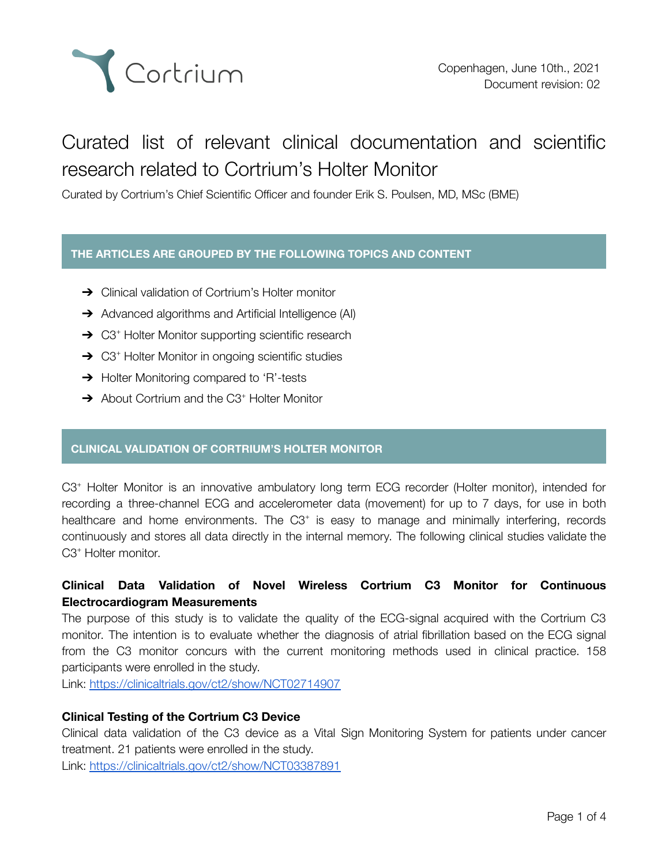

# Curated list of relevant clinical documentation and scientific research related to Cortrium's Holter Monitor

Curated by Cortrium's Chief Scientific Officer and founder Erik S. Poulsen, MD, MSc (BME)

## **THE ARTICLES ARE GROUPED BY THE FOLLOWING TOPICS AND CONTENT**

- **→** Clinical validation of Cortrium's Holter monitor
- **→** Advanced algorithms and Artificial Intelligence (AI)
- → C3<sup>+</sup> Holter Monitor supporting scientific research
- → C3<sup>+</sup> Holter Monitor in ongoing scientific studies
- **→** Holter Monitoring compared to 'R'-tests
- → About Cortrium and the C3<sup>+</sup> Holter Monitor

## **CLINICAL VALIDATION OF CORTRIUM'S HOLTER MONITOR**

C3<sup>+</sup> Holter Monitor is an innovative ambulatory long term ECG recorder (Holter monitor), intended for recording a three-channel ECG and accelerometer data (movement) for up to 7 days, for use in both healthcare and home environments. The C3<sup>+</sup> is easy to manage and minimally interfering, records continuously and stores all data directly in the internal memory. The following clinical studies validate the C<sub>3</sub>+ Holter monitor.

# **Clinical Data Validation of Novel Wireless Cortrium C3 Monitor for Continuous Electrocardiogram Measurements**

The purpose of this study is to validate the quality of the ECG-signal acquired with the Cortrium C3 monitor. The intention is to evaluate whether the diagnosis of atrial fibrillation based on the ECG signal from the C3 monitor concurs with the current monitoring methods used in clinical practice. 158 participants were enrolled in the study.

Link: <https://clinicaltrials.gov/ct2/show/NCT02714907>

## **Clinical Testing of the Cortrium C3 Device**

Clinical data validation of the C3 device as a Vital Sign Monitoring System for patients under cancer treatment. 21 patients were enrolled in the study.

Link: <https://clinicaltrials.gov/ct2/show/NCT03387891>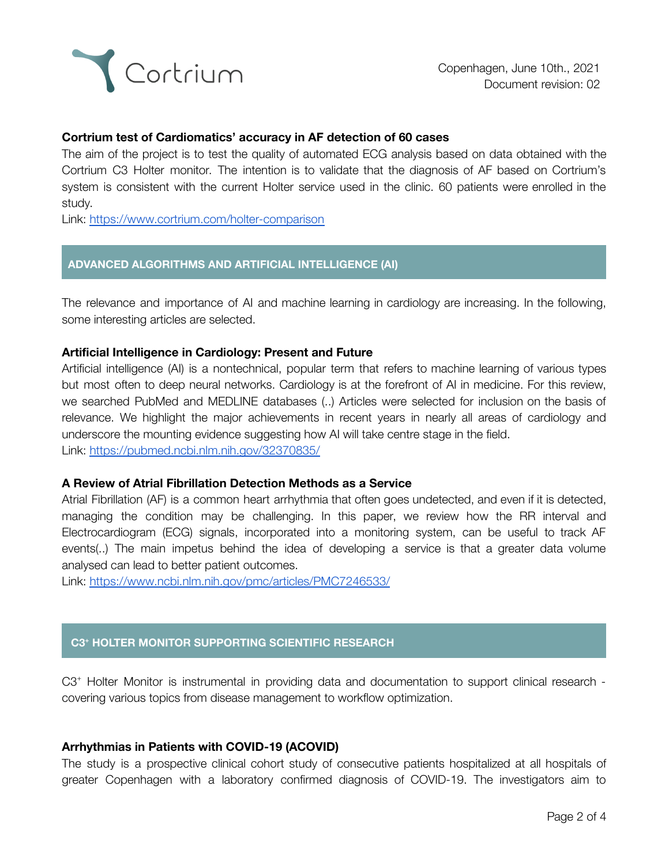

## **Cortrium test of Cardiomatics' accuracy in AF detection of 60 cases**

The aim of the project is to test the quality of automated ECG analysis based on data obtained with the Cortrium C3 Holter monitor. The intention is to validate that the diagnosis of AF based on Cortrium's system is consistent with the current Holter service used in the clinic. 60 patients were enrolled in the study.

Link: <https://www.cortrium.com/holter-comparison>

## **ADVANCED ALGORITHMS AND ARTIFICIAL INTELLIGENCE (AI)**

The relevance and importance of AI and machine learning in cardiology are increasing. In the following, some interesting articles are selected.

#### **Artificial Intelligence in Cardiology: Present and Future**

Artificial intelligence (AI) is a nontechnical, popular term that refers to machine learning of various types but most often to deep neural networks. Cardiology is at the forefront of AI in medicine. For this review, we searched PubMed and MEDLINE databases (..) Articles were selected for inclusion on the basis of relevance. We highlight the major achievements in recent years in nearly all areas of cardiology and underscore the mounting evidence suggesting how AI will take centre stage in the field. Link: <https://pubmed.ncbi.nlm.nih.gov/32370835/>

#### **A Review of Atrial Fibrillation Detection Methods as a Service**

Atrial Fibrillation (AF) is a common heart arrhythmia that often goes undetected, and even if it is detected, managing the condition may be challenging. In this paper, we review how the RR interval and Electrocardiogram (ECG) signals, incorporated into a monitoring system, can be useful to track AF events(..) The main impetus behind the idea of developing a service is that a greater data volume analysed can lead to better patient outcomes.

Link: <https://www.ncbi.nlm.nih.gov/pmc/articles/PMC7246533/>

## **C3 <sup>+</sup> HOLTER MONITOR SUPPORTING SCIENTIFIC RESEARCH**

C3<sup>+</sup> Holter Monitor is instrumental in providing data and documentation to support clinical research covering various topics from disease management to workflow optimization.

## **Arrhythmias in Patients with COVID-19 (ACOVID)**

The study is a prospective clinical cohort study of consecutive patients hospitalized at all hospitals of greater Copenhagen with a laboratory confirmed diagnosis of COVID-19. The investigators aim to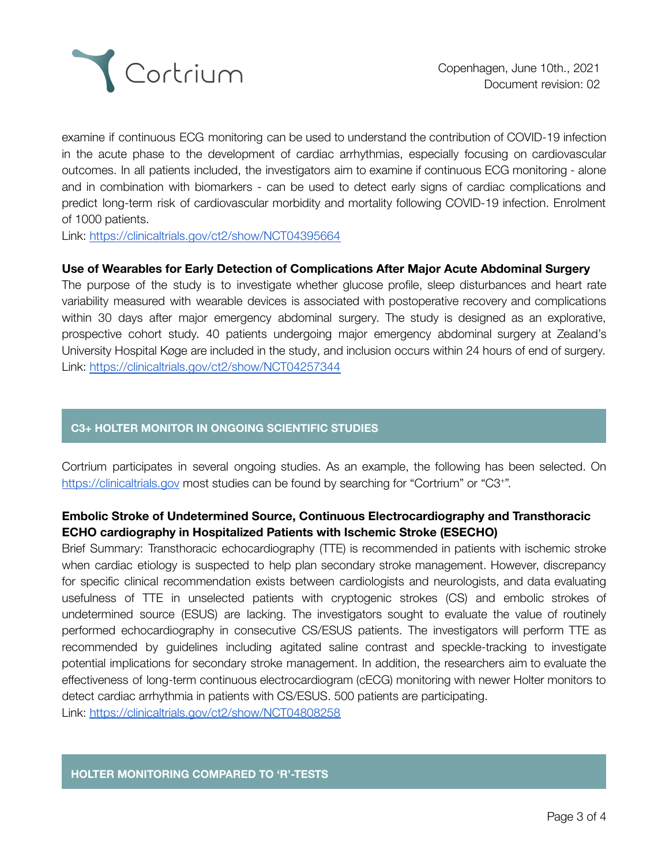

examine if continuous ECG monitoring can be used to understand the contribution of COVID-19 infection in the acute phase to the development of cardiac arrhythmias, especially focusing on cardiovascular outcomes. In all patients included, the investigators aim to examine if continuous ECG monitoring - alone and in combination with biomarkers - can be used to detect early signs of cardiac complications and predict long-term risk of cardiovascular morbidity and mortality following COVID-19 infection. Enrolment of 1000 patients.

Link: <https://clinicaltrials.gov/ct2/show/NCT04395664>

#### **Use of Wearables for Early Detection of Complications After Major Acute Abdominal Surgery**

The purpose of the study is to investigate whether glucose profile, sleep disturbances and heart rate variability measured with wearable devices is associated with postoperative recovery and complications within 30 days after major emergency abdominal surgery. The study is designed as an explorative, prospective cohort study. 40 patients undergoing major emergency abdominal surgery at Zealand's University Hospital Køge are included in the study, and inclusion occurs within 24 hours of end of surgery. Link: <https://clinicaltrials.gov/ct2/show/NCT04257344>

## **C3+ HOLTER MONITOR IN ONGOING SCIENTIFIC STUDIES**

Cortrium participates in several ongoing studies. As an example, the following has been selected. On [https://clinicaltrials.gov](https://clinicaltrials.gov/) most studies can be found by searching for "Cortrium" or "C3+".

## **Embolic Stroke of Undetermined Source, Continuous Electrocardiography and Transthoracic ECHO cardiography in Hospitalized Patients with Ischemic Stroke (ESECHO)**

Brief Summary: Transthoracic echocardiography (TTE) is recommended in patients with ischemic stroke when cardiac etiology is suspected to help plan secondary stroke management. However, discrepancy for specific clinical recommendation exists between cardiologists and neurologists, and data evaluating usefulness of TTE in unselected patients with cryptogenic strokes (CS) and embolic strokes of undetermined source (ESUS) are lacking. The investigators sought to evaluate the value of routinely performed echocardiography in consecutive CS/ESUS patients. The investigators will perform TTE as recommended by guidelines including agitated saline contrast and speckle-tracking to investigate potential implications for secondary stroke management. In addition, the researchers aim to evaluate the effectiveness of long-term continuous electrocardiogram (cECG) monitoring with newer Holter monitors to detect cardiac arrhythmia in patients with CS/ESUS. 500 patients are participating.

Link: <https://clinicaltrials.gov/ct2/show/NCT04808258>

#### **HOLTER MONITORING COMPARED TO 'R'-TESTS**